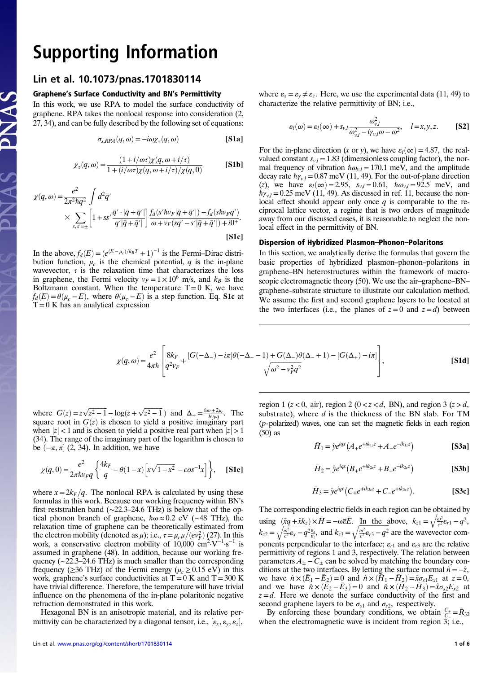# **Supporting Information**<br>Lin et al. 10.1073/pnas.1701830114

## Graphene's Surface Conductivity and BN's Permittivity

In this work, we use RPA to model the surface conductivity of graphene. RPA takes the nonlocal response into consideration (2, 27, 34), and can be fully described by the following set of equations:

$$
\sigma_{s, RPA}(q, \omega) = -i\omega \chi_{\tau}(q, \omega)
$$
 [S1a]

$$
\chi_{\tau}(q,\omega) = \frac{(1+i/\omega\tau)\chi(q,\omega+i/\tau)}{1+(i/\omega\tau)\chi(q,\omega+i/\tau)/\chi(q,0)} \qquad \text{[S1b]}
$$

$$
\chi(q,\omega) = \frac{e^2}{2\pi^2\hbar q^2} \int d^2\bar{q}'\n\times \sum_{s,s'= \pm} \left[1 + ss'\frac{\bar{q}'\cdot|\bar{q} + \bar{q}'|}{q'|\bar{q} + \bar{q}'|}\right] \frac{f_d(s'hv_F|\bar{q} + \bar{q}'|) - f_d(shv_Fq')}{\omega + v_F(sq' - s'|\bar{q} + \bar{q}'|) + i0^+}.
$$
\n[S1c]

In the above,  $f_d(E) = (e^{(E-\mu_c)/k_BT} + 1)^{-1}$  is the Fermi–Dirac distribution function  $\mu$  is the chemical potential *a* is the in-plane bution function,  $\mu_c$  is the chemical potential, q is the in-plane wavevector,  $\tau$  is the relaxation time that characterizes the loss in graphene, the Fermi velocity  $v_F = 1 \times 10^6$  m/s, and  $k_B$  is the Boltzmann constant. When the temperature  $T = 0$  K, we have  $f_d(E) = \theta(\mu_c - E)$ , where  $\theta(\mu_c - E)$  is a step function. Eq. S1c at  $T=0$  K has an analytical expression

where  $\varepsilon_x = \varepsilon_y \neq \varepsilon_z$ . Here, we use the experimental data (11, 49) to characterize the relative permittivity of BN; i.e.,

$$
\varepsilon_l(\omega) = \varepsilon_l(\infty) + s_{\nu,l} \frac{\omega_{\nu,l}^2}{\omega_{\nu,l}^2 - i\gamma_{\nu,l}\omega - \omega^2}, \quad l = x, y, z.
$$
 [S2]

For the in-plane direction (x or y), we have  $\varepsilon_l(\infty) = 4.87$ , the realvalued constant  $s_{v,l} = 1.83$  (dimensionless coupling factor), the normal frequency of vibration  $\hbar \omega_{v,l} = 170.1$  meV, and the amplitude decay rate  $\hbar\gamma_{v,l} = 0.87$  meV (11, 49). For the out-of-plane direction (z), we have  $\varepsilon_l(\infty) = 2.95$ ,  $s_{v,l} = 0.61$ ,  $\hbar \omega_{v,l} = 92.5$  meV, and  $h\gamma_{v,l} = 0.25$  meV (11, 49). As discussed in ref. 11, because the nonlocal effect should appear only once  $q$  is comparable to the reciprocal lattice vector, a regime that is two orders of magnitude away from our discussed cases, it is reasonable to neglect the nonlocal effect in the permittivity of BN.

### Dispersion of Hybridized Plasmon–Phonon–Polaritons

In this section, we analytically derive the formulas that govern the basic properties of hybridized plasmon–phonon–polaritons in graphene–BN heterostructures within the framework of macroscopic electromagnetic theory (50). We use the air–graphene–BN– graphene–substrate structure to illustrate our calculation method. We assume the first and second graphene layers to be located at the two interfaces (i.e., the planes of  $z=0$  and  $z=d$ ) between

$$
\chi(q,\omega) = \frac{e^2}{4\pi\hbar} \left[ \frac{8k_F}{q^2v_F} + \frac{[G(-\Delta_-) - i\pi]\theta(-\Delta_- - 1) + G(\Delta_-)\theta(\Delta_- + 1) - [G(\Delta_+) - i\pi]}{\sqrt{\omega^2 - v_F^2 q^2}} \right],
$$
\n[S1d]

where  $G(z) = z\sqrt{z^2 - 1} - \log(z + \sqrt{z^2 - 1})$  and  $\Delta_{\pm} = \frac{\hbar \omega \pm 2\mu_c}{\hbar v \epsilon q}$ . The square root in  $G(z)$  is chosen to yield a positive imaginary part square root in  $G(z)$  is chosen to yield a positive imaginary part when  $|z| < 1$  and is chosen to yield a positive real part when  $|z| > 1$ (34). The range of the imaginary part of the logarithm is chosen to be  $(-\pi, \pi]$  (2, 34). In addition, we have

$$
\chi(q,0) = \frac{e^2}{2\pi\hbar v_F q} \left\{ \frac{4k_F}{q} - \theta(1-x) \left[ x\sqrt{1-x^2} - \cos^{-1}x \right] \right\}, \quad \text{[S1e]}
$$

where  $x = 2k_F/q$ . The nonlocal RPA is calculated by using these formulas in this work. Because our working frequency within BN's first reststrahlen band (∼22.3–24.6 THz) is below that of the optical phonon branch of graphene,  $\hbar \omega \approx 0.2$  eV (∼48 THz), the relaxation time of graphene can be theoretically estimated from the electron mobility (denoted as  $\mu$ ); i.e.,  $\tau = \mu_c \mu / (ev_F^2)$  (27). In this work, a conservative electron mobility of 10,000 cm<sup>2</sup>.V<sup>-1</sup> s<sup>-1</sup> is work, a conservative electron mobility of  $10,000 \text{ cm}^2 \text{·V}^{-1} \text{·s}^{-1}$  is assumed in graphene (48). In addition, because our working frequency (∼22.3–24.6 THz) is much smaller than the corresponding frequency ( $\geq$ 36 THz) of the Fermi energy ( $\mu_c \geq 0.15$  eV) in this work, graphene's surface conductivities at  $T = 0$  K and  $T = 300$  K have trivial difference. Therefore, the temperature will have trivial influence on the phenomena of the in-plane polaritonic negative refraction demonstrated in this work.

Hexagonal BN is an anisotropic material, and its relative permittivity can be characterized by a diagonal tensor, i.e.,  $[\varepsilon_x, \varepsilon_y, \varepsilon_z]$ ,

region 1 ( $z$  < 0, air), region 2 ( $0 < z < d$ , BN), and region 3 ( $z > d$ , substrate), where  $d$  is the thickness of the BN slab. For TM (p-polarized) waves, one can set the magnetic fields in each region (50) as

$$
\bar{H}_1 = \hat{y}e^{iqx} \left( A_+ e^{+ik_{1z}z} + A_- e^{-ik_{1z}z} \right)
$$
 [S3a]

$$
\bar{H}_2 = \hat{y}e^{i\alpha}(B_+e^{+ik_{2z}z} + B_-e^{-ik_{2z}z})
$$
 [S3b]

$$
\bar{H}_3 = \hat{y}e^{iqx} (C_+e^{+ik_{3z}z} + C_-e^{+ik_{3z}z}).
$$
 [S3c]

The corresponding electric fields in each region can be obtained by using  $\left(\frac{\hat{x}q + \hat{x}k_z}{\sqrt{a^2}}\right) \times \bar{H} = -\omega \overline{\overline{\epsilon}}\overline{\overline{\epsilon}}$ . In the above,  $k_{z1} = \sqrt{\frac{a^2}{c^2}\epsilon_{r1} - q^2}$ ,  $k_{z2} = \sqrt{\frac{\omega^2}{c^2} \varepsilon_x - q^2 \frac{\varepsilon_x}{\varepsilon_z}}$ , and  $k_{z3} = \sqrt{\frac{\omega^2}{c^2} \varepsilon_{r3} - q^2}$  are the wavevector components perpendicular to the interface;  $\varepsilon_{r1}$  and  $\varepsilon_{r3}$  are the relative permittivity of regions 1 and 3, respectively. The relation between parameters  $A_{\pm} - C_{\pm}$  can be solved by matching the boundary conditions at the two interfaces. By letting the surface normal  $\hat{n} = -\hat{z}$ , we have  $\hat{n} \times (\bar{E}_1 - \bar{E}_2) = 0$  and  $\hat{n} \times (\bar{H}_1 - \bar{H}_2) = \hat{x}\sigma_{s1}E_{x1}$  at  $z = 0$ ,<br>and we have  $\hat{n} \times (\bar{E}_2 - \bar{E}_2) = 0$  and  $\hat{n} \times (\bar{H}_2 - \bar{H}_2) = \hat{x}\sigma_2E_{x2}$  at and we have  $\hat{n} \times (\overline{E}_2 - \overline{E}_3) = 0$  and  $\hat{n} \times (\overline{H}_2 - \overline{H}_3) = \hat{x} \sigma_{s2}E_{x2}$  at  $z = d$ . Here we denote the surface conductivity of the first and  $z=d$ . Here we denote the surface conductivity of the first and second graphene layers to be  $\sigma_{s1}$  and  $\sigma_{s2}$ , respectively.

By enforcing these boundary conditions, we obtain  $\frac{C_+}{C_-} = \tilde{R}_{32}$ when the electromagnetic wave is incident from region 3; i.e.,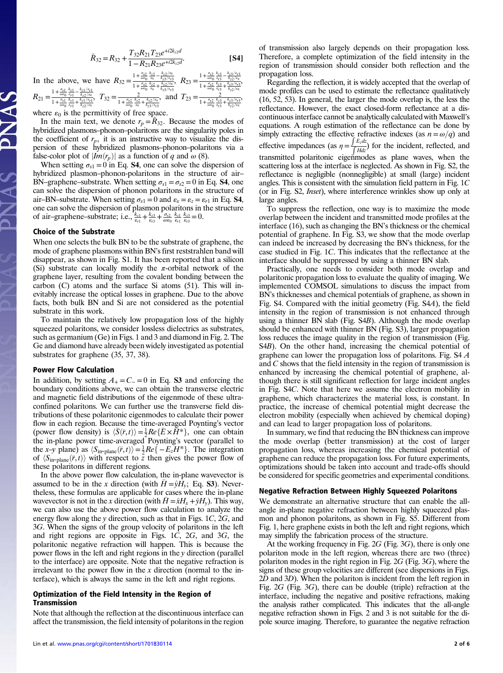$$
\tilde{R}_{32} = R_{32} + \frac{T_{32}R_{21}T_{23}e^{+i2k_{22}d}}{1 - R_{21}R_{23}e^{+i2k_{22}d}}.
$$
 [S4]

In the above, we have  $R_{32} = \frac{1 + \frac{\sigma_{s2}}{\omega_{60}} \frac{k_{s2}}{\alpha_{5}} - \frac{k_{s2}/\sigma_{x}}{k_{s3}/\sigma_{s2}}}{1 + \frac{\sigma_{s2}}{\omega_{60}} \frac{k_{s2}}{\alpha_{5}} + \frac{k_{s2}/\sigma_{x}}{k_{s2}/\sigma_{x}}}$ ,  $R_{23} = \frac{1 + \frac{\sigma_{s2}}{\omega_{60}} \frac{k_{s3}}{\sigma_{s3}} - \frac{k_{s2}/\sigma_{x3}}{k_{s2}/\sigma_{x}}}{1 + \frac{\sigma_{s2}}{\omega_{60$  $\frac{1+\frac{\sigma_{s2}}{\omega\epsilon_0}\frac{k_{r3}}{k_{r3}}+\frac{k_{z3}/\epsilon_{r3}}{k_{z2}/\epsilon_x}}{1+\frac{\sigma_{s2}}{\omega\epsilon_0}\frac{k_{r3}}{\epsilon_{r3}}+\frac{k_{z3}/\epsilon_{r3}}{k_{z2}/\epsilon_x}}$ 

 $R_{21} = \frac{1+\frac{\sigma_{s1}}{\omega\epsilon_0}\frac{k_{z1}}{\epsilon_{r1}} - \frac{k_{z1}/\epsilon_{r1}}{k_{z2}/\epsilon_x}}{1+\frac{\sigma_{s1}}{\epsilon_1}\frac{k_{z1}}{\epsilon_1} + \frac{k_{z1}/\epsilon_{r1}}{k_{z1}/\epsilon_{r1}}}$  $\frac{1+\frac{\sigma_1}{\omega\epsilon_0}\frac{E}{\epsilon_1}-\frac{E}{k_2/\omega_1}}{1+\frac{\sigma_2}{\omega\epsilon_0}\frac{E}{\epsilon_1}+\frac{E}{k_2/\omega_1}}, \ \ T_{32}=\frac{2}{1+\frac{\sigma_3}{\omega\epsilon_0}\frac{E}{\epsilon_2}+\frac{k_2/\omega_1}{k_2/\omega_1}}, \ \ \text{and} \ \ T_{23}=\frac{E}{1+\frac{\sigma_3}{\omega\epsilon_0}\frac{E_3}{\epsilon_1}+\frac{k_1/\omega_1}{k_2/\omega_1}}$ where  $\varepsilon_0$  is the permittivity of free space.

In the main text, we denote  $r_p = R_{32}$ . Because the modes of hybridized plasmons–phonon–polaritons are the singularity poles in the coefficient of  $r_p$ , it is an instructive way to visualize the dispersion of these hybridized plasmons–phonon–polaritons via a false-color plot of  $\vert Im(r_p) \vert$  as a function of q and  $\omega$  (8).

When setting  $\sigma_{s1} = 0$  in Eq. **S4**, one can solve the dispersion of hybridized plasmon–phonon-polaritons in the structure of air– BN–graphene–substrate. When setting  $\sigma_{s1} = \sigma_{s2} = 0$  in Eq. **S4**, one can solve the dispersion of phonon polaritons in the structure of air–BN–substrate. When setting  $\sigma_{s1} = 0$  and  $\varepsilon_{r} = \varepsilon_{z} = \varepsilon_{r1}$  in Eq. **S4**, one can solve the dispersion of plasmon polaritons in the structure<br>of air-graphene-substrate; i.e.,  $\frac{k_{z1}}{\varepsilon_{r1}} + \frac{k_{z3}}{\varepsilon_{r3}} + \frac{\sigma_{s2}}{\omega \varepsilon_0} \frac{k_{z1}}{\varepsilon_{r1}} + \frac{k_{z3}}{\varepsilon_{r3}} = 0$ .

#### Choice of the Substrate

When one selects the bulk BN to be the substrate of graphene, the mode of graphene plasmons within BN's first reststrahlen band will disappear, as shown in Fig. S1. It has been reported that a silicon (Si) substrate can locally modify the  $\pi$ -orbital network of the graphene layer, resulting from the covalent bonding between the carbon (C) atoms and the surface Si atoms (51). This will inevitably increase the optical losses in graphene. Due to the above facts, both bulk BN and Si are not considered as the potential substrate in this work.

To maintain the relatively low propagation loss of the highly squeezed polaritons, we consider lossless dielectrics as substrates, such as germanium (Ge) in Figs. 1 and 3 and diamond in Fig. 2. The Ge and diamond have already been widely investigated as potential substrates for graphene (35, 37, 38).

#### Power Flow Calculation

In addition, by setting  $A_{+} = C_{-} = 0$  in Eq. **S3** and enforcing the boundary conditions above, we can obtain the transverse electric and magnetic field distributions of the eigenmode of these ultraconfined polaritons. We can further use the transverse field distributions of these polaritonic eigenmodes to calculate their power flow in each region. Because the time-averaged Poynting's vector (power flow density) is  $\langle \overline{S}(\overline{r},t) \rangle = \frac{1}{2} Re\{\overline{E} \times \overline{H}^*\}$ , one can obtain the in-plane nower time-averaged Poynting's vector (parallel to the in-plane power time-averaged Poynting's vector (parallel to the x–y plane) as  $\langle S_{\text{in-plane}}(\overline{r}, t) \rangle = \frac{1}{2}Re\{-E_zH^*\}$ . The integration of  $\langle S_{\text{in plane}}(\overline{r}, t) \rangle$  with respect to z then gives the nower flow of of  $\langle S_{\text{in-plane}}(\bar{r}, t) \rangle$  with respect to z then gives the power flow of these polaritons in different regions.

In the above power flow calculation, the in-plane wavevector is assumed to be in the x direction (with  $H = \hat{y}H_y$ ; Eq. S3). Nevertheless, these formulas are applicable for cases where the in-plane wavevector is not in the x direction (with  $\bar{H} = \hat{x}H_x + \hat{y}H_y$ ). This way, we can also use the above power flow calculation to analyze the energy flow along the y direction, such as that in Figs. 1C, 2G, and 3G. When the signs of the group velocity of polaritons in the left and right regions are opposite in Figs. 1C, 2G, and 3G, the polaritonic negative refraction will happen. This is because the power flows in the left and right regions in the y direction (parallel to the interface) are opposite. Note that the negative refraction is irrelevant to the power flow in the  $x$  direction (normal to the interface), which is always the same in the left and right regions.

#### Optimization of the Field Intensity in the Region of Transmission

Note that although the reflection at the discontinuous interface can affect the transmission, the field intensity of polaritons in the region of transmission also largely depends on their propagation loss. Therefore, a complete optimization of the field intensity in the region of transmission should consider both reflection and the propagation loss.

Regarding the reflection, it is widely accepted that the overlap of mode profiles can be used to estimate the reflectance qualitatively (16, 52, 53). In general, the larger the mode overlap is, the less the reflectance. However, the exact closed-form reflectance at a discontinuous interface cannot be analytically calculated with Maxwell's equations. A rough estimation of the reflectance can be done by simply extracting the effective refractive indexes (as  $n = \omega/q$ ) and effective impedances (as  $\eta = \frac{\int E_z dz}{\int H dz}$ ) for the incident, reflected, and transmitted polaritonic eigenmodes as plane waves, when the scattering loss at the interface is neglected. As shown in Fig. S2, the reflectance is negligible (nonnegligible) at small (large) incident angles. This is consistent with the simulation field pattern in Fig. 1C (or in Fig. S2, Inset), where interference wrinkles show up only at large angles.

To suppress the reflection, one way is to maximize the mode overlap between the incident and transmitted mode profiles at the interface (16), such as changing the BN's thickness or the chemical potential of graphene. In Fig. S3, we show that the mode overlap can indeed be increased by decreasing the BN's thickness, for the case studied in Fig. 1C. This indicates that the reflectance at the interface should be suppressed by using a thinner BN slab.

Practically, one needs to consider both mode overlap and polaritonic propagation loss to evaluate the quality of imaging. We implemented COMSOL simulations to discuss the impact from BN's thicknesses and chemical potentials of graphene, as shown in Fig. S4. Compared with the initial geometry (Fig. S4A), the field intensity in the region of transmission is not enhanced through using a thinner BN slab (Fig. S4B). Although the mode overlap should be enhanced with thinner BN (Fig. S3), larger propagation loss reduces the image quality in the region of transmission (Fig. S4B). On the other hand, increasing the chemical potential of graphene can lower the propagation loss of polaritons. Fig. S4 A and C shows that the field intensity in the region of transmission is enhanced by increasing the chemical potential of graphene, although there is still significant reflection for large incident angles in Fig. S4C. Note that here we assume the electron mobility in graphene, which characterizes the material loss, is constant. In practice, the increase of chemical potential might decrease the electron mobility (especially when achieved by chemical doping) and can lead to larger propagation loss of polaritons.

In summary, we find that reducing the BN thickness can improve the mode overlap (better transmission) at the cost of larger propagation loss, whereas increasing the chemical potential of graphene can reduce the propagation loss. For future experiments, optimizations should be taken into account and trade-offs should be considered for specific geometries and experimental conditions.

#### Negative Refraction Between Highly Squeezed Polaritons

We demonstrate an alternative structure that can enable the allangle in-plane negative refraction between highly squeezed plasmon and phonon polaritons, as shown in Fig. S5. Different from Fig. 1, here graphene exists in both the left and right regions, which may simplify the fabrication process of the structure.

At the working frequency in Fig. 2G (Fig. 3G), there is only one polariton mode in the left region, whereas there are two (three) polariton modes in the right region in Fig. 2G (Fig. 3G), where the signs of these group velocities are different (see dispersions in Figs. 2D and 3D). When the polariton is incident from the left region in Fig. 2G (Fig. 3G), there can be double (triple) refraction at the interface, including the negative and positive refractions, making the analysis rather complicated. This indicates that the all-angle negative refraction shown in Figs. 2 and 3 is not suitable for the dipole source imaging. Therefore, to guarantee the negative refraction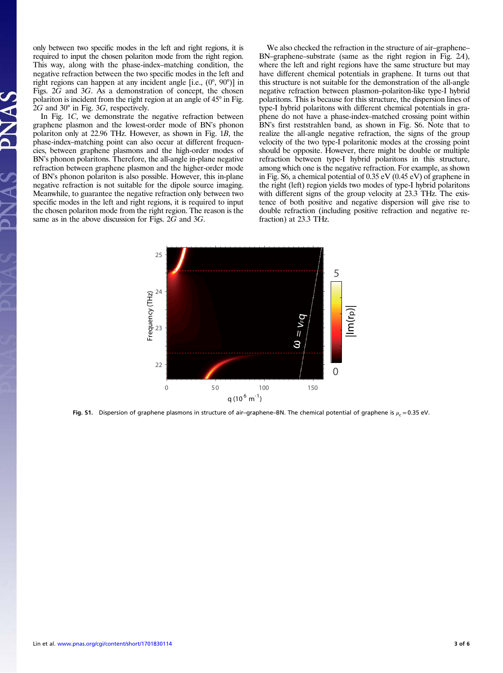only between two specific modes in the left and right regions, it is required to input the chosen polariton mode from the right region. This way, along with the phase-index–matching condition, the negative refraction between the two specific modes in the left and right regions can happen at any incident angle [i.e., (0°, 90°)] in Figs. 2G and 3G. As a demonstration of concept, the chosen polariton is incident from the right region at an angle of 45° in Fig. 2G and 30° in Fig. 3G, respectively.

In Fig. 1C, we demonstrate the negative refraction between graphene plasmon and the lowest-order mode of BN's phonon polariton only at 22.96 THz. However, as shown in Fig. 1B, the phase-index–matching point can also occur at different frequencies, between graphene plasmons and the high-order modes of BN's phonon polaritons. Therefore, the all-angle in-plane negative refraction between graphene plasmon and the higher-order mode of BN's phonon polariton is also possible. However, this in-plane negative refraction is not suitable for the dipole source imaging. Meanwhile, to guarantee the negative refraction only between two specific modes in the left and right regions, it is required to input the chosen polariton mode from the right region. The reason is the same as in the above discussion for Figs. 2G and 3G.

We also checked the refraction in the structure of air–graphene– BN–graphene–substrate (same as the right region in Fig. 2A), where the left and right regions have the same structure but may have different chemical potentials in graphene. It turns out that this structure is not suitable for the demonstration of the all-angle negative refraction between plasmon–polariton-like type-I hybrid polaritons. This is because for this structure, the dispersion lines of type-I hybrid polaritons with different chemical potentials in graphene do not have a phase-index–matched crossing point within BN's first reststrahlen band, as shown in Fig. S6. Note that to realize the all-angle negative refraction, the signs of the group velocity of the two type-I polaritonic modes at the crossing point should be opposite. However, there might be double or multiple refraction between type-I hybrid polaritons in this structure, among which one is the negative refraction. For example, as shown in Fig. S6, a chemical potential of 0.35 eV (0.45 eV) of graphene in the right (left) region yields two modes of type-I hybrid polaritons with different signs of the group velocity at 23.3 THz. The existence of both positive and negative dispersion will give rise to double refraction (including positive refraction and negative refraction) at 23.3 THz.



Fig. S1. Dispersion of graphene plasmons in structure of air–graphene–BN. The chemical potential of graphene is  $\mu_c = 0.35$  eV.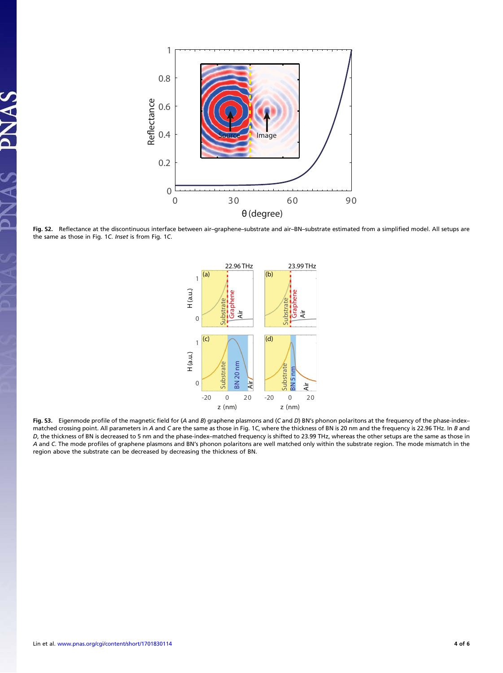

Fig. S2. Reflectance at the discontinuous interface between air–graphene–substrate and air–BN–substrate estimated from a simplified model. All setups are the same as those in Fig. 1C. Inset is from Fig. 1C.



Fig. S3. Eigenmode profile of the magnetic field for (<sup>A</sup> and <sup>B</sup>) graphene plasmons and (<sup>C</sup> and <sup>D</sup>) BN's phonon polaritons at the frequency of the phase-index– matched crossing point. All parameters in A and C are the same as those in Fig. 1C, where the thickness of BN is 20 nm and the frequency is 22.96 THz. In B and D, the thickness of BN is decreased to 5 nm and the phase-index–matched frequency is shifted to 23.99 THz, whereas the other setups are the same as those in A and C. The mode profiles of graphene plasmons and BN's phonon polaritons are well matched only within the substrate region. The mode mismatch in the region above the substrate can be decreased by decreasing the thickness of BN.

AC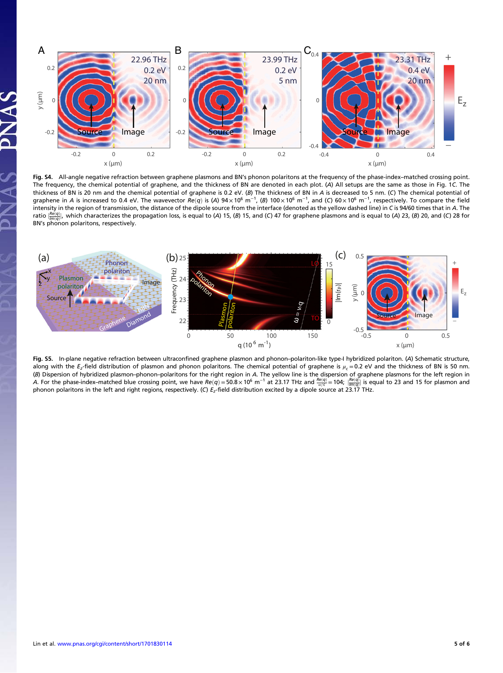

Fig. S4. All-angle negative refraction between graphene plasmons and BN's phonon polaritons at the frequency of the phase-index–matched crossing point. The frequency, the chemical potential of graphene, and the thickness of BN are denoted in each plot. (A) All setups are the same as those in Fig. 1C. The thickness of BN is 20 nm and the chemical potential of graphene is 0.2 eV. (B) The thickness of BN in A is decreased to 5 nm. (C) The chemical potential of graphene in A is increased to 0.4 eV. The wavevector  $Re(q)$  is (A)  $94 \times 10^6$  m<sup>-1</sup>, (B)  $100 \times 10^6$  m<sup>-1</sup>, and (C)  $60 \times 10^6$  m<sup>-1</sup>, respectively. To compare the field<br>intensity in the region of transmission, the dista intensity in the region of transmission, the distance of the dipole source from the interface (denoted as the yellow dashed line) in C is 94/60 times that in A. The ratio  $\frac{|\mathcal{Re}(q)|}{|m(q)|}$ , which characterizes the propagation loss, is equal to (A) 15, (B) 15, and (C) 47 for graphene plasmons and is equal to (A) 23, (B) 20, and (C) 28 for<br>Ph<sup>y</sup>s phanon polaritons, recognively.  $\text{B-N}^{\text{I/m}}(q)$ , which characterizes the polaritions, respectively.



Fig. S5. In-plane negative refraction between ultraconfined graphene plasmon and phonon–polariton-like type-I hybridized polariton. (A) Schematic structure, along with the E<sub>z</sub>-field distribution of plasmon and phonon polaritons. The chemical potential of graphene is  $\mu_c = 0.2$  eV and the thickness of BN is 50 nm. (B) Dispersion of hybridized plasmon–phonon–polaritons for the right region in A. The yellow line is the dispersion of graphene plasmons for the left region in A. For the phase-index–matched blue crossing point, we have  $Re(q) = 50.8 \times 10^6$  m<sup>-1</sup> at 23.17 THz and  $\frac{Re(q)}{\omega}$  = 104;  $\frac{Re(q)}{2}$  is equal to 23 and 15 for plasmon and the point of the properties to conceively (C) E. f For the phase mask matched bide crossing point, we have  $\frac{\text{Re}(q)}{\text{Re}(q)} = 50.5 \times 10^{-111} \text{ m}$  at 23.17 THz. and  $\frac{\text{Im}(q)}{\text{Im}(q)} = 104$ ,  $\frac{\text{Im}(q)}{\text{Im}(q)} = 104$ ,  $\frac{\text{Im}(q)}{\text{Im}(q)} = 104$ ,  $\frac{\text{Im}(q)}{\text{Im}(q)} = 104$ .